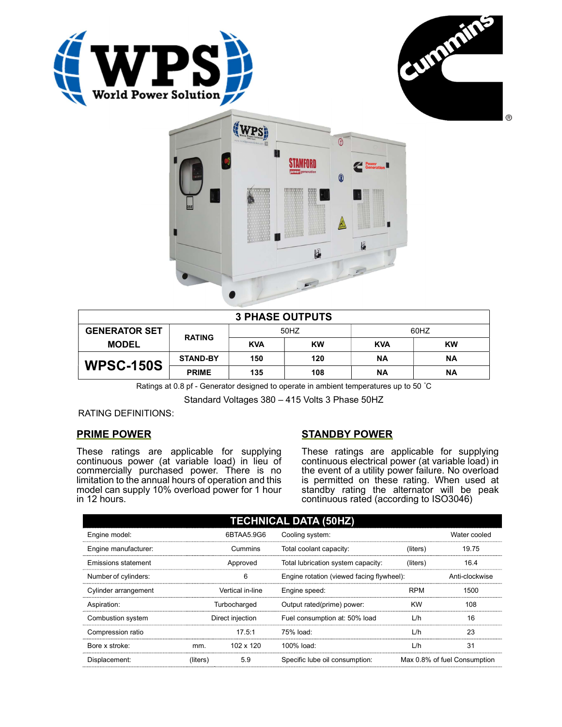





| <b>3 PHASE OUTPUTS</b> |                 |            |           |            |           |  |
|------------------------|-----------------|------------|-----------|------------|-----------|--|
| <b>GENERATOR SET</b>   | <b>RATING</b>   | 50HZ       |           | 60HZ       |           |  |
| <b>MODEL</b>           |                 | <b>KVA</b> | <b>KW</b> | <b>KVA</b> | <b>KW</b> |  |
| <b>WPSC-150S</b>       | <b>STAND-BY</b> | 150        | 120       | ΝA         | ΝA        |  |
|                        | <b>PRIME</b>    | 135        | 108       | ΝA         | ΝA        |  |

Ratings at 0.8 pf - Generator designed to operate in ambient temperatures up to 50 °C

Standard Voltages 380 – 415 Volts 3 Phase 50HZ

RATING DEFINITIONS:

# PRIME POWER

These ratings are applicable for supplying continuous power (at variable load) in lieu of commercially purchased power. There is no limitation to the annual hours of operation and this model can supply 10% overload power for 1 hour in 12 hours.

# STANDBY POWER

These ratings are applicable for supplying continuous electrical power (at variable load) in the event of a utility power failure. No overload is permitted on these rating. When used at standby rating the alternator will be peak continuous rated (according to ISO3046)

| <b>TECHNICAL DATA (50HZ)</b> |                  |            |                                           |            |                              |  |
|------------------------------|------------------|------------|-------------------------------------------|------------|------------------------------|--|
| Engine model:                |                  | 6BTAA5.9G6 | Cooling system:                           |            | Water cooled                 |  |
| Engine manufacturer:         | Cummins          |            | Total coolant capacity:                   | (liters)   | 19.75                        |  |
| <b>Emissions statement</b>   | Approved         |            | Total lubrication system capacity:        | (liters)   | 16.4                         |  |
| Number of cylinders:         | 6                |            | Engine rotation (viewed facing flywheel): |            | Anti-clockwise               |  |
| Cylinder arrangement         | Vertical in-line |            | Engine speed:                             | <b>RPM</b> | 1500                         |  |
| Aspiration:                  | Turbocharged     |            | Output rated(prime) power:                | <b>KW</b>  | 108                          |  |
| Combustion system            | Direct injection |            | Fuel consumption at: 50% load             | L/h        | 16                           |  |
| Compression ratio            |                  | 17.5:1     | 75% load:                                 | L/h        | 23                           |  |
| Bore x stroke:               | mm.              | 102 x 120  | 100% load:                                | L/h        | 31                           |  |
| Displacement:                | (liters)         | 5.9        | Specific lube oil consumption:            |            | Max 0.8% of fuel Consumption |  |